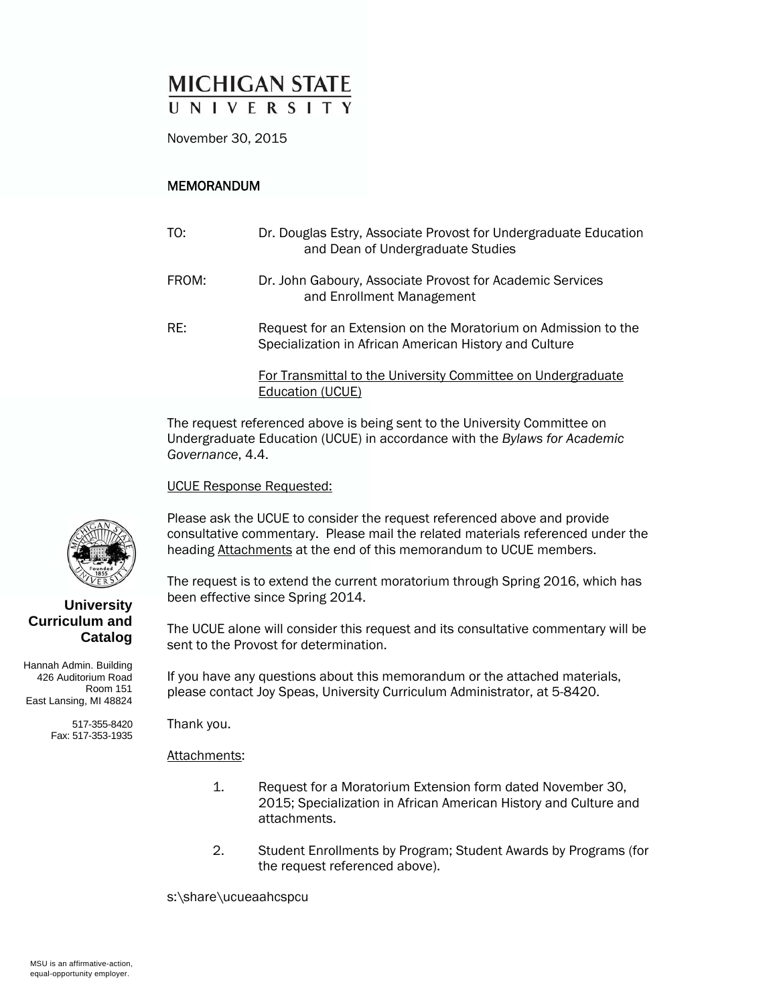# **MICHIGAN STATE** UNIVERSITY

November 30, 2015

### MEMORANDUM

| TO:   | Dr. Douglas Estry, Associate Provost for Undergraduate Education<br>and Dean of Undergraduate Studies                    |
|-------|--------------------------------------------------------------------------------------------------------------------------|
| FROM: | Dr. John Gaboury, Associate Provost for Academic Services<br>and Enrollment Management                                   |
| RE:   | Request for an Extension on the Moratorium on Admission to the<br>Specialization in African American History and Culture |
|       | For Transmittal to the University Committee on Undergraduate<br>Education (UCUE)                                         |

The request referenced above is being sent to the University Committee on Undergraduate Education (UCUE) in accordance with the *Bylaws for Academic Governance*, 4.4.

UCUE Response Requested:

Please ask the UCUE to consider the request referenced above and provide consultative commentary. Please mail the related materials referenced under the heading Attachments at the end of this memorandum to UCUE members.

The request is to extend the current moratorium through Spring 2016, which has been effective since Spring 2014.

The UCUE alone will consider this request and its consultative commentary will be sent to the Provost for determination.

If you have any questions about this memorandum or the attached materials, please contact Joy Speas, University Curriculum Administrator, at 5-8420.

Thank you.

#### Attachments:

- 1. Request for a Moratorium Extension form dated November 30, 2015; Specialization in African American History and Culture and attachments.
- 2. Student Enrollments by Program; Student Awards by Programs (for the request referenced above).

s:\share\ucueaahcspcu



### **University Curriculum and Catalog**

Hannah Admin. Building 426 Auditorium Road Room 151 East Lansing, MI 48824

> 517-355-8420 Fax: 517-353-1935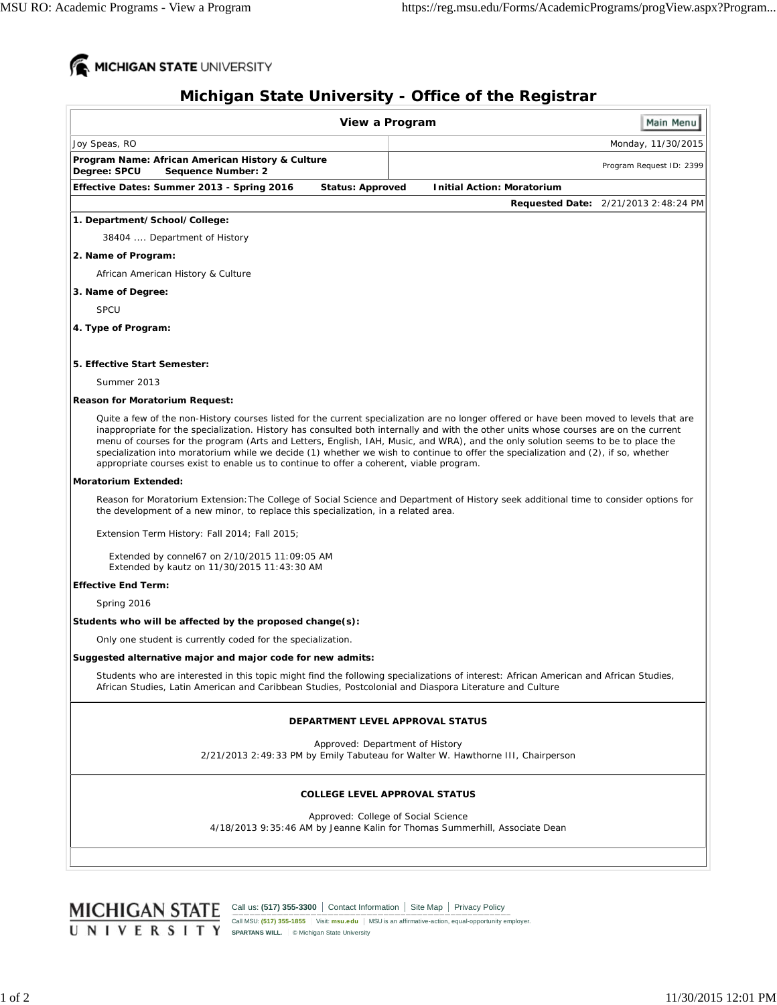

## **Michigan State University - Office of the Registrar**

|                                                                                                                                                                                                                                                                                                                                                                                                                                                                                                                                                                                                                                                        | View a Program                       |                                   | Main Menu                                   |
|--------------------------------------------------------------------------------------------------------------------------------------------------------------------------------------------------------------------------------------------------------------------------------------------------------------------------------------------------------------------------------------------------------------------------------------------------------------------------------------------------------------------------------------------------------------------------------------------------------------------------------------------------------|--------------------------------------|-----------------------------------|---------------------------------------------|
| Joy Speas, RO                                                                                                                                                                                                                                                                                                                                                                                                                                                                                                                                                                                                                                          |                                      |                                   | Monday, 11/30/2015                          |
| Program Name: African American History & Culture<br>Degree: SPCU<br>Sequence Number: 2                                                                                                                                                                                                                                                                                                                                                                                                                                                                                                                                                                 |                                      |                                   | Program Request ID: 2399                    |
| Effective Dates: Summer 2013 - Spring 2016                                                                                                                                                                                                                                                                                                                                                                                                                                                                                                                                                                                                             | <b>Status: Approved</b>              | <b>Initial Action: Moratorium</b> |                                             |
|                                                                                                                                                                                                                                                                                                                                                                                                                                                                                                                                                                                                                                                        |                                      |                                   | <b>Requested Date: 2/21/2013 2:48:24 PM</b> |
| 1. Department/School/College:                                                                                                                                                                                                                                                                                                                                                                                                                                                                                                                                                                                                                          |                                      |                                   |                                             |
| 38404  Department of History                                                                                                                                                                                                                                                                                                                                                                                                                                                                                                                                                                                                                           |                                      |                                   |                                             |
| 2. Name of Program:                                                                                                                                                                                                                                                                                                                                                                                                                                                                                                                                                                                                                                    |                                      |                                   |                                             |
| African American History & Culture                                                                                                                                                                                                                                                                                                                                                                                                                                                                                                                                                                                                                     |                                      |                                   |                                             |
| 3. Name of Degree:                                                                                                                                                                                                                                                                                                                                                                                                                                                                                                                                                                                                                                     |                                      |                                   |                                             |
| <b>SPCU</b>                                                                                                                                                                                                                                                                                                                                                                                                                                                                                                                                                                                                                                            |                                      |                                   |                                             |
| 4. Type of Program:                                                                                                                                                                                                                                                                                                                                                                                                                                                                                                                                                                                                                                    |                                      |                                   |                                             |
| 5. Effective Start Semester:                                                                                                                                                                                                                                                                                                                                                                                                                                                                                                                                                                                                                           |                                      |                                   |                                             |
| Summer 2013                                                                                                                                                                                                                                                                                                                                                                                                                                                                                                                                                                                                                                            |                                      |                                   |                                             |
| <b>Reason for Moratorium Request:</b>                                                                                                                                                                                                                                                                                                                                                                                                                                                                                                                                                                                                                  |                                      |                                   |                                             |
| Quite a few of the non-History courses listed for the current specialization are no longer offered or have been moved to levels that are<br>inappropriate for the specialization. History has consulted both internally and with the other units whose courses are on the current<br>menu of courses for the program (Arts and Letters, English, IAH, Music, and WRA), and the only solution seems to be to place the<br>specialization into moratorium while we decide (1) whether we wish to continue to offer the specialization and (2), if so, whether<br>appropriate courses exist to enable us to continue to offer a coherent, viable program. |                                      |                                   |                                             |
| <b>Moratorium Extended:</b>                                                                                                                                                                                                                                                                                                                                                                                                                                                                                                                                                                                                                            |                                      |                                   |                                             |
| Reason for Moratorium Extension: The College of Social Science and Department of History seek additional time to consider options for<br>the development of a new minor, to replace this specialization, in a related area.                                                                                                                                                                                                                                                                                                                                                                                                                            |                                      |                                   |                                             |
| Extension Term History: Fall 2014; Fall 2015;                                                                                                                                                                                                                                                                                                                                                                                                                                                                                                                                                                                                          |                                      |                                   |                                             |
| Extended by connel67 on 2/10/2015 11:09:05 AM<br>Extended by kautz on 11/30/2015 11:43:30 AM                                                                                                                                                                                                                                                                                                                                                                                                                                                                                                                                                           |                                      |                                   |                                             |
| <b>Effective End Term:</b>                                                                                                                                                                                                                                                                                                                                                                                                                                                                                                                                                                                                                             |                                      |                                   |                                             |
| Spring 2016                                                                                                                                                                                                                                                                                                                                                                                                                                                                                                                                                                                                                                            |                                      |                                   |                                             |
| Students who will be affected by the proposed change(s):                                                                                                                                                                                                                                                                                                                                                                                                                                                                                                                                                                                               |                                      |                                   |                                             |
| Only one student is currently coded for the specialization.                                                                                                                                                                                                                                                                                                                                                                                                                                                                                                                                                                                            |                                      |                                   |                                             |
| Suggested alternative major and major code for new admits:                                                                                                                                                                                                                                                                                                                                                                                                                                                                                                                                                                                             |                                      |                                   |                                             |
| Students who are interested in this topic might find the following specializations of interest: African American and African Studies<br>African Studies, Latin American and Caribbean Studies, Postcolonial and Diaspora Literature and Culture                                                                                                                                                                                                                                                                                                                                                                                                        |                                      |                                   |                                             |
|                                                                                                                                                                                                                                                                                                                                                                                                                                                                                                                                                                                                                                                        | DEPARTMENT LEVEL APPROVAL STATUS     |                                   |                                             |
| 2/21/2013 2:49:33 PM by Emily Tabuteau for Walter W. Hawthorne III, Chairperson                                                                                                                                                                                                                                                                                                                                                                                                                                                                                                                                                                        | Approved: Department of History      |                                   |                                             |
|                                                                                                                                                                                                                                                                                                                                                                                                                                                                                                                                                                                                                                                        | <b>COLLEGE LEVEL APPROVAL STATUS</b> |                                   |                                             |
| 4/18/2013 9:35:46 AM by Jeanne Kalin for Thomas Summerhill, Associate Dean                                                                                                                                                                                                                                                                                                                                                                                                                                                                                                                                                                             | Approved: College of Social Science  |                                   |                                             |
|                                                                                                                                                                                                                                                                                                                                                                                                                                                                                                                                                                                                                                                        |                                      |                                   |                                             |

Call MSU: **(517) 355-1855** Visit: **msu.edu** MSU is an affirmative-action, equal-opportunity employer. **SPARTANS WILL.** © Michigan State University